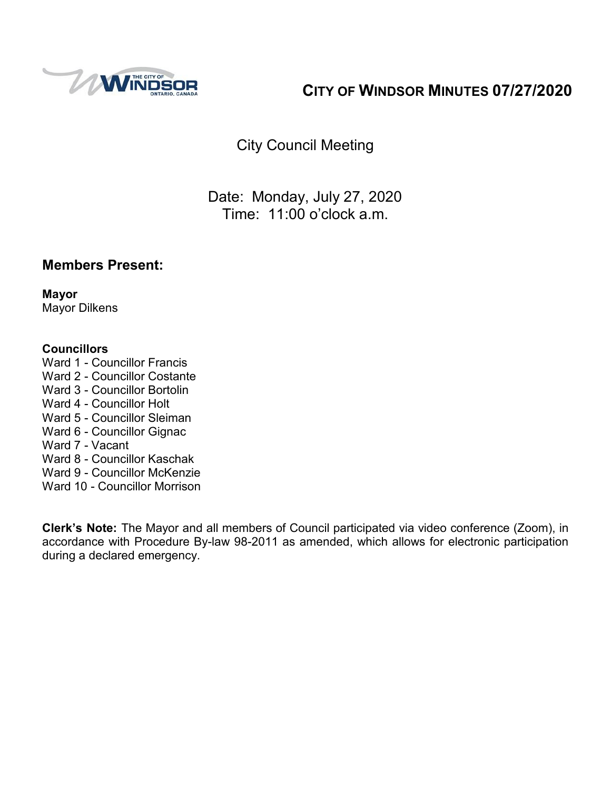

# **CITY OF WINDSOR MINUTES 07/27/2020**

City Council Meeting

Date: Monday, July 27, 2020 Time: 11:00 o'clock a.m.

## **Members Present:**

**Mayor** Mayor Dilkens

#### **Councillors**

- Ward 1 Councillor Francis
- Ward 2 Councillor Costante
- Ward 3 Councillor Bortolin
- Ward 4 Councillor Holt
- Ward 5 Councillor Sleiman
- Ward 6 Councillor Gignac
- Ward 7 Vacant
- Ward 8 Councillor Kaschak
- Ward 9 Councillor McKenzie
- Ward 10 Councillor Morrison

**Clerk's Note:** The Mayor and all members of Council participated via video conference (Zoom), in accordance with Procedure By-law 98-2011 as amended, which allows for electronic participation during a declared emergency.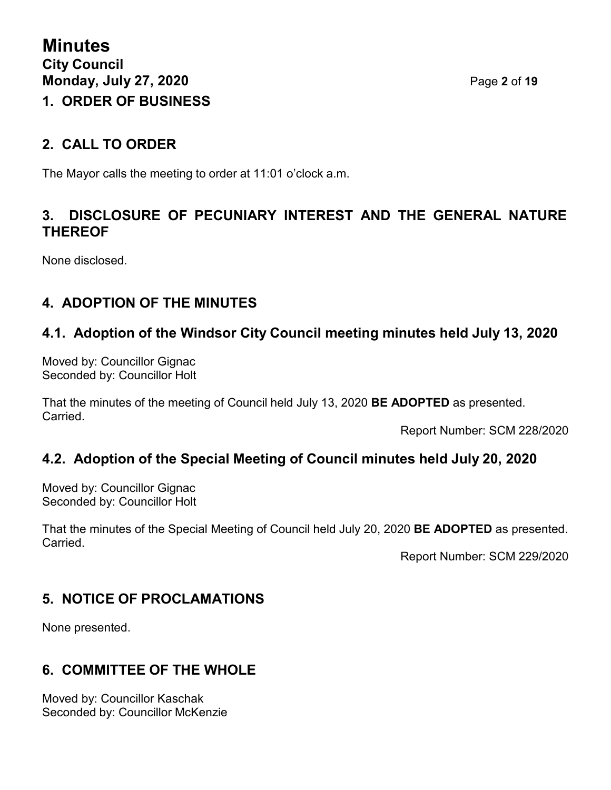## **2. CALL TO ORDER**

The Mayor calls the meeting to order at 11:01 o'clock a.m.

## **3. DISCLOSURE OF PECUNIARY INTEREST AND THE GENERAL NATURE THEREOF**

None disclosed.

# **4. ADOPTION OF THE MINUTES**

## **4.1. Adoption of the Windsor City Council meeting minutes held July 13, 2020**

Moved by: Councillor Gignac Seconded by: Councillor Holt

That the minutes of the meeting of Council held July 13, 2020 **BE ADOPTED** as presented. **Carried** 

Report Number: SCM 228/2020

## **4.2. Adoption of the Special Meeting of Council minutes held July 20, 2020**

Moved by: Councillor Gignac Seconded by: Councillor Holt

That the minutes of the Special Meeting of Council held July 20, 2020 **BE ADOPTED** as presented. Carried.

Report Number: SCM 229/2020

## **5. NOTICE OF PROCLAMATIONS**

None presented.

## **6. COMMITTEE OF THE WHOLE**

Moved by: Councillor Kaschak Seconded by: Councillor McKenzie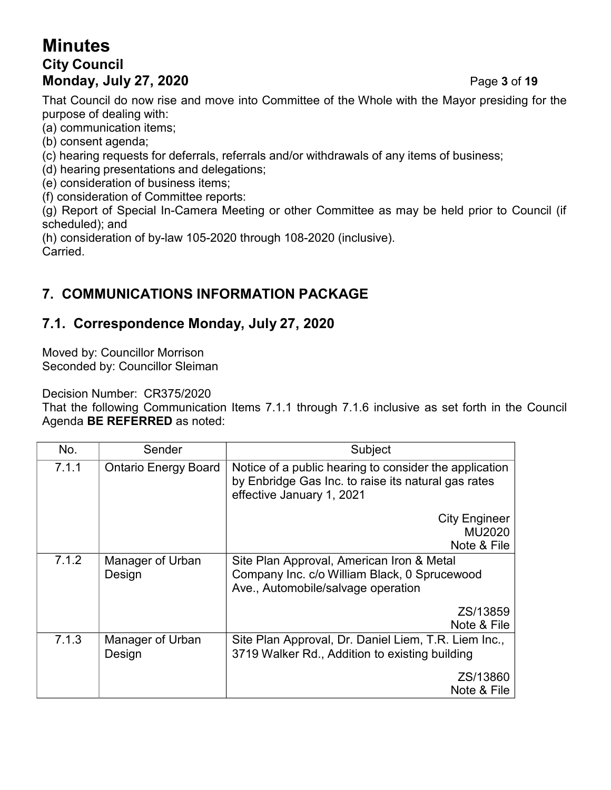# **Minutes City Council Monday, July 27, 2020** Page **3** of **19**

That Council do now rise and move into Committee of the Whole with the Mayor presiding for the purpose of dealing with:

(a) communication items;

- (b) consent agenda;
- (c) hearing requests for deferrals, referrals and/or withdrawals of any items of business;
- (d) hearing presentations and delegations;
- (e) consideration of business items;
- (f) consideration of Committee reports:

(g) Report of Special In-Camera Meeting or other Committee as may be held prior to Council (if scheduled); and

(h) consideration of by-law 105-2020 through 108-2020 (inclusive). Carried.

# **7. COMMUNICATIONS INFORMATION PACKAGE**

## **7.1. Correspondence Monday, July 27, 2020**

Moved by: Councillor Morrison Seconded by: Councillor Sleiman

Decision Number: CR375/2020

That the following Communication Items 7.1.1 through 7.1.6 inclusive as set forth in the Council Agenda **BE REFERRED** as noted:

| No.   | Sender                      | Subject                                                                                                                                    |  |
|-------|-----------------------------|--------------------------------------------------------------------------------------------------------------------------------------------|--|
| 7.1.1 | <b>Ontario Energy Board</b> | Notice of a public hearing to consider the application<br>by Enbridge Gas Inc. to raise its natural gas rates<br>effective January 1, 2021 |  |
|       |                             | <b>City Engineer</b><br>MU2020<br>Note & File                                                                                              |  |
| 7.1.2 | Manager of Urban<br>Design  | Site Plan Approval, American Iron & Metal<br>Company Inc. c/o William Black, 0 Sprucewood<br>Ave., Automobile/salvage operation            |  |
|       |                             | ZS/13859<br>Note & File                                                                                                                    |  |
| 7.1.3 | Manager of Urban<br>Design  | Site Plan Approval, Dr. Daniel Liem, T.R. Liem Inc.,<br>3719 Walker Rd., Addition to existing building                                     |  |
|       |                             | ZS/13860<br>Note & File                                                                                                                    |  |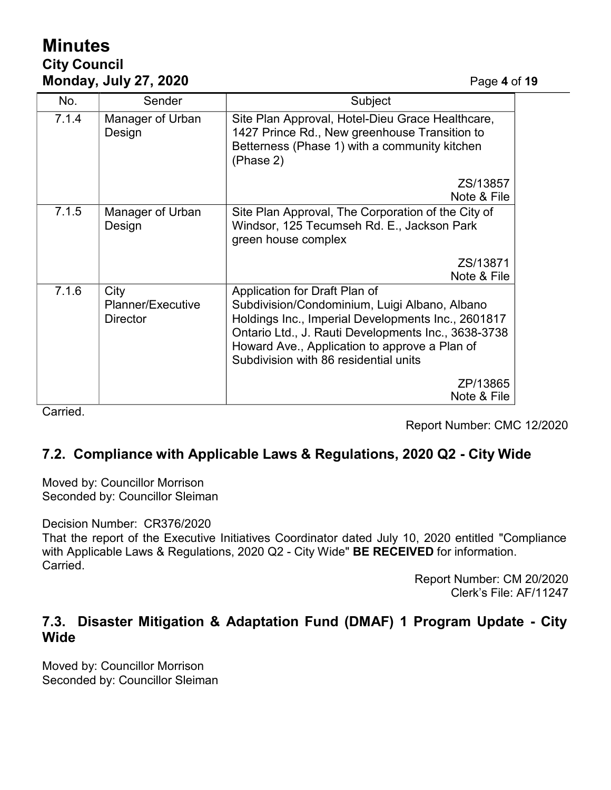# **Minutes City Council Monday, July 27, 2020** Page **4** of **19**

| No.   | Sender                                       | Subject                                                                                                                                                                                                                                                                               |  |
|-------|----------------------------------------------|---------------------------------------------------------------------------------------------------------------------------------------------------------------------------------------------------------------------------------------------------------------------------------------|--|
| 7.1.4 | Manager of Urban<br>Design                   | Site Plan Approval, Hotel-Dieu Grace Healthcare,<br>1427 Prince Rd., New greenhouse Transition to<br>Betterness (Phase 1) with a community kitchen<br>(Phase 2)                                                                                                                       |  |
|       |                                              | ZS/13857<br>Note & File                                                                                                                                                                                                                                                               |  |
| 7.1.5 | Manager of Urban<br>Design                   | Site Plan Approval, The Corporation of the City of<br>Windsor, 125 Tecumseh Rd. E., Jackson Park<br>green house complex                                                                                                                                                               |  |
|       |                                              | ZS/13871<br>Note & File                                                                                                                                                                                                                                                               |  |
| 7.1.6 | City<br>Planner/Executive<br><b>Director</b> | Application for Draft Plan of<br>Subdivision/Condominium, Luigi Albano, Albano<br>Holdings Inc., Imperial Developments Inc., 2601817<br>Ontario Ltd., J. Rauti Developments Inc., 3638-3738<br>Howard Ave., Application to approve a Plan of<br>Subdivision with 86 residential units |  |
|       |                                              | ZP/13865<br>Note & File                                                                                                                                                                                                                                                               |  |

Carried.

Report Number: CMC 12/2020

## **7.2. Compliance with Applicable Laws & Regulations, 2020 Q2 - City Wide**

Moved by: Councillor Morrison Seconded by: Councillor Sleiman

Decision Number: CR376/2020

That the report of the Executive Initiatives Coordinator dated July 10, 2020 entitled "Compliance with Applicable Laws & Regulations, 2020 Q2 - City Wide" **BE RECEIVED** for information. Carried.

Report Number: CM 20/2020 Clerk's File: AF/11247

## **7.3. Disaster Mitigation & Adaptation Fund (DMAF) 1 Program Update - City Wide**

Moved by: Councillor Morrison Seconded by: Councillor Sleiman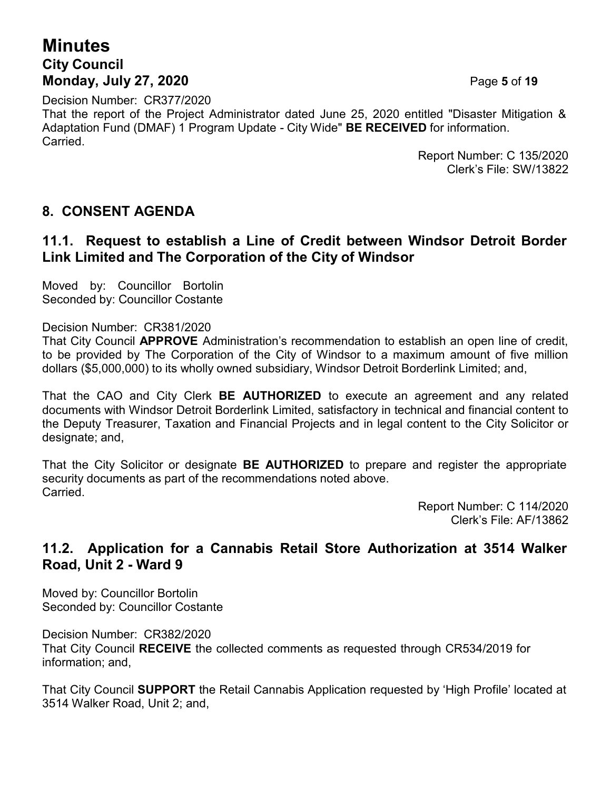# **Minutes City Council Monday, July 27, 2020** Page **5** of **19**

Decision Number: CR377/2020 That the report of the Project Administrator dated June 25, 2020 entitled "Disaster Mitigation & Adaptation Fund (DMAF) 1 Program Update - City Wide" **BE RECEIVED** for information. Carried.

Report Number: C 135/2020 Clerk's File: SW/13822

#### **8. CONSENT AGENDA**

#### **11.1. Request to establish a Line of Credit between Windsor Detroit Border Link Limited and The Corporation of the City of Windsor**

Moved by: Councillor Bortolin Seconded by: Councillor Costante

Decision Number: CR381/2020

That City Council **APPROVE** Administration's recommendation to establish an open line of credit, to be provided by The Corporation of the City of Windsor to a maximum amount of five million dollars (\$5,000,000) to its wholly owned subsidiary, Windsor Detroit Borderlink Limited; and,

That the CAO and City Clerk **BE AUTHORIZED** to execute an agreement and any related documents with Windsor Detroit Borderlink Limited, satisfactory in technical and financial content to the Deputy Treasurer, Taxation and Financial Projects and in legal content to the City Solicitor or designate; and,

That the City Solicitor or designate **BE AUTHORIZED** to prepare and register the appropriate security documents as part of the recommendations noted above. Carried.

Report Number: C 114/2020 Clerk's File: AF/13862

#### **11.2. Application for a Cannabis Retail Store Authorization at 3514 Walker Road, Unit 2 - Ward 9**

Moved by: Councillor Bortolin Seconded by: Councillor Costante

Decision Number: CR382/2020 That City Council **RECEIVE** the collected comments as requested through CR534/2019 for information; and,

That City Council **SUPPORT** the Retail Cannabis Application requested by 'High Profile' located at 3514 Walker Road, Unit 2; and,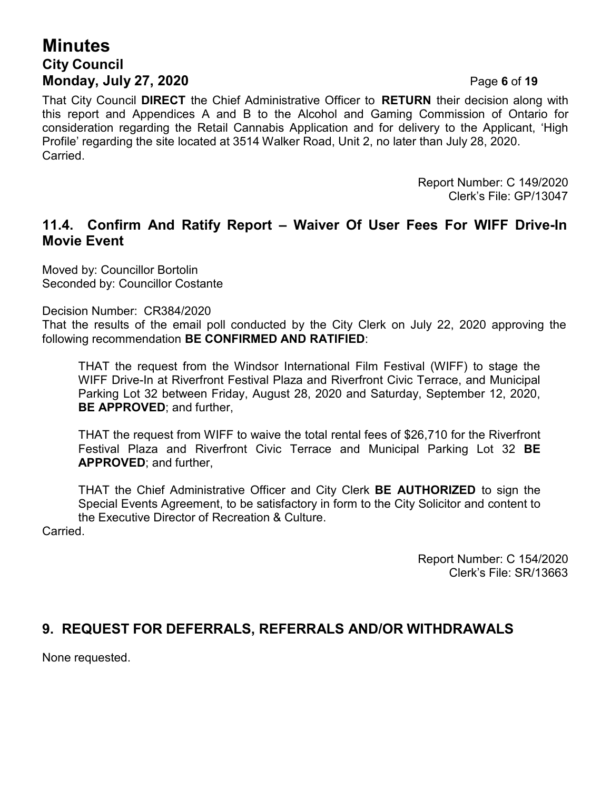# **Minutes City Council Monday, July 27, 2020** Page **6** of **19**

That City Council **DIRECT** the Chief Administrative Officer to **RETURN** their decision along with this report and Appendices A and B to the Alcohol and Gaming Commission of Ontario for consideration regarding the Retail Cannabis Application and for delivery to the Applicant, 'High Profile' regarding the site located at 3514 Walker Road, Unit 2, no later than July 28, 2020. **Carried** 

> Report Number: C 149/2020 Clerk's File: GP/13047

## **11.4. Confirm And Ratify Report – Waiver Of User Fees For WIFF Drive-In Movie Event**

Moved by: Councillor Bortolin Seconded by: Councillor Costante

Decision Number: CR384/2020

That the results of the email poll conducted by the City Clerk on July 22, 2020 approving the following recommendation **BE CONFIRMED AND RATIFIED**:

THAT the request from the Windsor International Film Festival (WIFF) to stage the WIFF Drive-In at Riverfront Festival Plaza and Riverfront Civic Terrace, and Municipal Parking Lot 32 between Friday, August 28, 2020 and Saturday, September 12, 2020, **BE APPROVED**; and further,

THAT the request from WIFF to waive the total rental fees of \$26,710 for the Riverfront Festival Plaza and Riverfront Civic Terrace and Municipal Parking Lot 32 **BE APPROVED**; and further,

THAT the Chief Administrative Officer and City Clerk **BE AUTHORIZED** to sign the Special Events Agreement, to be satisfactory in form to the City Solicitor and content to the Executive Director of Recreation & Culture.

Carried.

Report Number: C 154/2020 Clerk's File: SR/13663

## **9. REQUEST FOR DEFERRALS, REFERRALS AND/OR WITHDRAWALS**

None requested.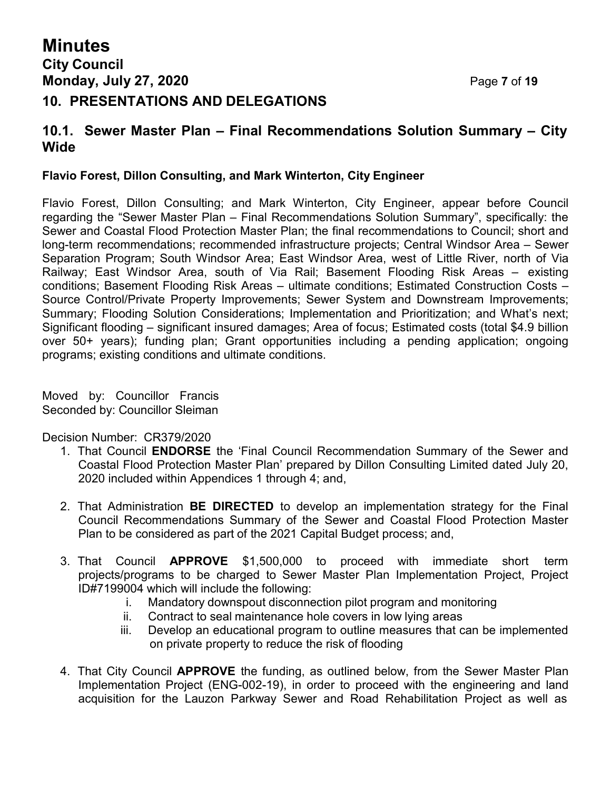# **Minutes City Council Monday, July 27, 2020** Page **7** of **19 10. PRESENTATIONS AND DELEGATIONS**

#### **10.1. Sewer Master Plan – Final Recommendations Solution Summary – City Wide**

#### **Flavio Forest, Dillon Consulting, and Mark Winterton, City Engineer**

Flavio Forest, Dillon Consulting; and Mark Winterton, City Engineer, appear before Council regarding the "Sewer Master Plan – Final Recommendations Solution Summary", specifically: the Sewer and Coastal Flood Protection Master Plan; the final recommendations to Council; short and long-term recommendations; recommended infrastructure projects; Central Windsor Area – Sewer Separation Program; South Windsor Area; East Windsor Area, west of Little River, north of Via Railway; East Windsor Area, south of Via Rail; Basement Flooding Risk Areas – existing conditions; Basement Flooding Risk Areas – ultimate conditions; Estimated Construction Costs – Source Control/Private Property Improvements; Sewer System and Downstream Improvements; Summary; Flooding Solution Considerations; Implementation and Prioritization; and What's next; Significant flooding – significant insured damages; Area of focus; Estimated costs (total \$4.9 billion over 50+ years); funding plan; Grant opportunities including a pending application; ongoing programs; existing conditions and ultimate conditions.

Moved by: Councillor Francis Seconded by: Councillor Sleiman

Decision Number: CR379/2020

- 1. That Council **ENDORSE** the 'Final Council Recommendation Summary of the Sewer and Coastal Flood Protection Master Plan' prepared by Dillon Consulting Limited dated July 20, 2020 included within Appendices 1 through 4; and,
- 2. That Administration **BE DIRECTED** to develop an implementation strategy for the Final Council Recommendations Summary of the Sewer and Coastal Flood Protection Master Plan to be considered as part of the 2021 Capital Budget process; and,
- 3. That Council **APPROVE** \$1,500,000 to proceed with immediate short term projects/programs to be charged to Sewer Master Plan Implementation Project, Project ID#7199004 which will include the following:
	- i. Mandatory downspout disconnection pilot program and monitoring
	- ii. Contract to seal maintenance hole covers in low lying areas
	- iii. Develop an educational program to outline measures that can be implemented on private property to reduce the risk of flooding
- 4. That City Council **APPROVE** the funding, as outlined below, from the Sewer Master Plan Implementation Project (ENG-002-19), in order to proceed with the engineering and land acquisition for the Lauzon Parkway Sewer and Road Rehabilitation Project as well as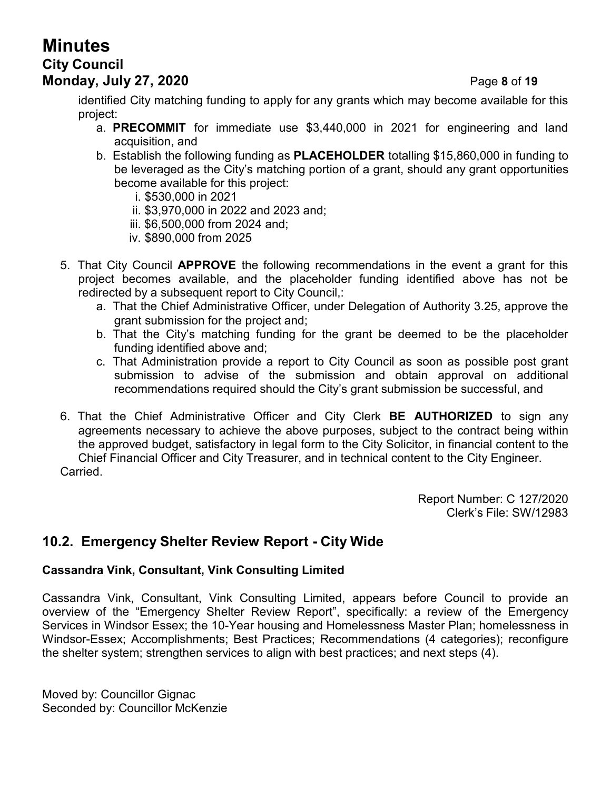# **Minutes City Council Monday, July 27, 2020** Page **8** of **19**

identified City matching funding to apply for any grants which may become available for this project:

- a. **PRECOMMIT** for immediate use \$3,440,000 in 2021 for engineering and land acquisition, and
- b. Establish the following funding as **PLACEHOLDER** totalling \$15,860,000 in funding to be leveraged as the City's matching portion of a grant, should any grant opportunities become available for this project:
	- i. \$530,000 in 2021
	- ii. \$3,970,000 in 2022 and 2023 and;
	- iii. \$6,500,000 from 2024 and;
	- iv. \$890,000 from 2025
- 5. That City Council **APPROVE** the following recommendations in the event a grant for this project becomes available, and the placeholder funding identified above has not be redirected by a subsequent report to City Council,:
	- a. That the Chief Administrative Officer, under Delegation of Authority 3.25, approve the grant submission for the project and;
	- b. That the City's matching funding for the grant be deemed to be the placeholder funding identified above and;
	- c. That Administration provide a report to City Council as soon as possible post grant submission to advise of the submission and obtain approval on additional recommendations required should the City's grant submission be successful, and
- 6. That the Chief Administrative Officer and City Clerk **BE AUTHORIZED** to sign any agreements necessary to achieve the above purposes, subject to the contract being within the approved budget, satisfactory in legal form to the City Solicitor, in financial content to the Chief Financial Officer and City Treasurer, and in technical content to the City Engineer. Carried.

Report Number: C 127/2020 Clerk's File: SW/12983

## **10.2. Emergency Shelter Review Report - City Wide**

#### **Cassandra Vink, Consultant, Vink Consulting Limited**

Cassandra Vink, Consultant, Vink Consulting Limited, appears before Council to provide an overview of the "Emergency Shelter Review Report", specifically: a review of the Emergency Services in Windsor Essex; the 10-Year housing and Homelessness Master Plan; homelessness in Windsor-Essex; Accomplishments; Best Practices; Recommendations (4 categories); reconfigure the shelter system; strengthen services to align with best practices; and next steps (4).

Moved by: Councillor Gignac Seconded by: Councillor McKenzie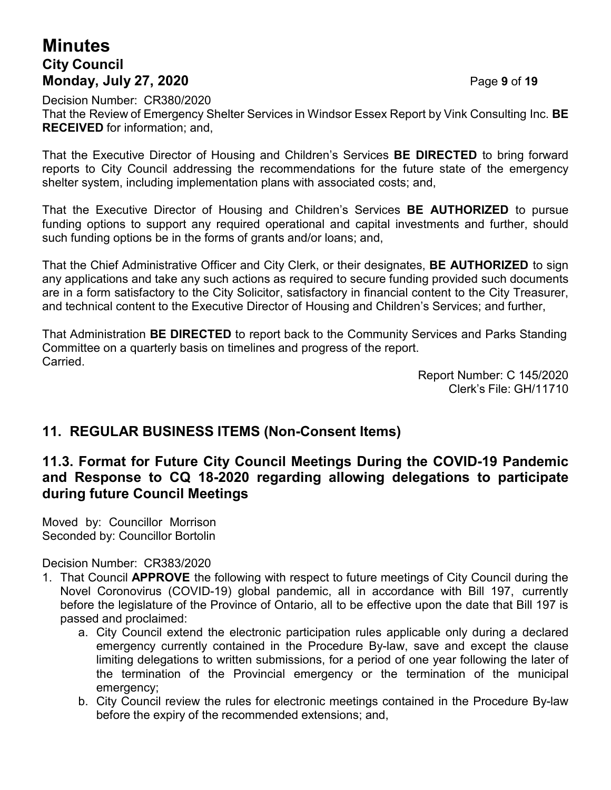# **Minutes City Council Monday, July 27, 2020** Page **9** of **19**

Decision Number: CR380/2020 That the Review of Emergency Shelter Services in Windsor Essex Report by Vink Consulting Inc. **BE RECEIVED** for information; and,

That the Executive Director of Housing and Children's Services **BE DIRECTED** to bring forward reports to City Council addressing the recommendations for the future state of the emergency shelter system, including implementation plans with associated costs; and,

That the Executive Director of Housing and Children's Services **BE AUTHORIZED** to pursue funding options to support any required operational and capital investments and further, should such funding options be in the forms of grants and/or loans; and,

That the Chief Administrative Officer and City Clerk, or their designates, **BE AUTHORIZED** to sign any applications and take any such actions as required to secure funding provided such documents are in a form satisfactory to the City Solicitor, satisfactory in financial content to the City Treasurer, and technical content to the Executive Director of Housing and Children's Services; and further,

That Administration **BE DIRECTED** to report back to the Community Services and Parks Standing Committee on a quarterly basis on timelines and progress of the report. Carried.

Report Number: C 145/2020 Clerk's File: GH/11710

## **11. REGULAR BUSINESS ITEMS (Non-Consent Items)**

## **11.3. Format for Future City Council Meetings During the COVID-19 Pandemic and Response to CQ 18-2020 regarding allowing delegations to participate during future Council Meetings**

Moved by: Councillor Morrison Seconded by: Councillor Bortolin

Decision Number: CR383/2020

- 1. That Council **APPROVE** the following with respect to future meetings of City Council during the Novel Coronovirus (COVID-19) global pandemic, all in accordance with Bill 197, currently before the legislature of the Province of Ontario, all to be effective upon the date that Bill 197 is passed and proclaimed:
	- a. City Council extend the electronic participation rules applicable only during a declared emergency currently contained in the Procedure By-law, save and except the clause limiting delegations to written submissions, for a period of one year following the later of the termination of the Provincial emergency or the termination of the municipal emergency;
	- b. City Council review the rules for electronic meetings contained in the Procedure By-law before the expiry of the recommended extensions; and,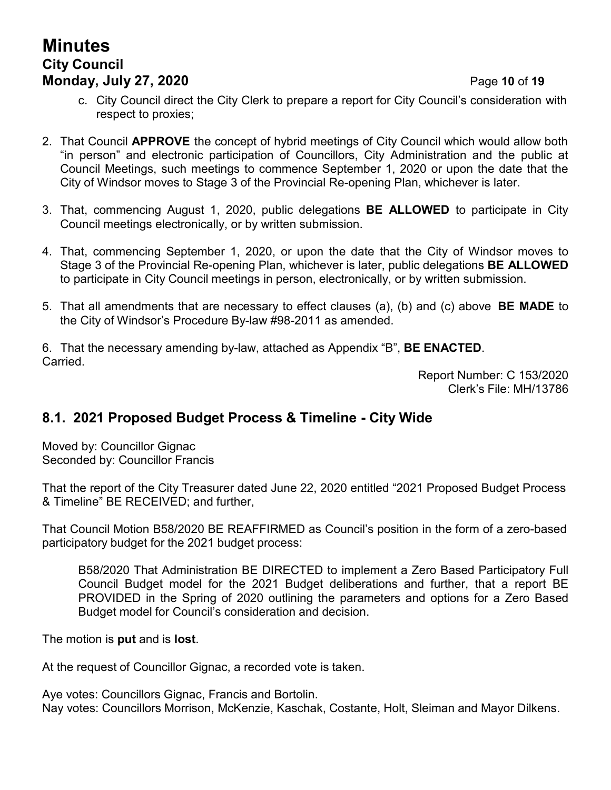# **Minutes City Council Monday, July 27, 2020 Page 10 of 19**

- c. City Council direct the City Clerk to prepare a report for City Council's consideration with respect to proxies;
- 2. That Council **APPROVE** the concept of hybrid meetings of City Council which would allow both "in person" and electronic participation of Councillors, City Administration and the public at Council Meetings, such meetings to commence September 1, 2020 or upon the date that the City of Windsor moves to Stage 3 of the Provincial Re-opening Plan, whichever is later.
- 3. That, commencing August 1, 2020, public delegations **BE ALLOWED** to participate in City Council meetings electronically, or by written submission.
- 4. That, commencing September 1, 2020, or upon the date that the City of Windsor moves to Stage 3 of the Provincial Re-opening Plan, whichever is later, public delegations **BE ALLOWED** to participate in City Council meetings in person, electronically, or by written submission.
- 5. That all amendments that are necessary to effect clauses (a), (b) and (c) above **BE MADE** to the City of Windsor's Procedure By-law #98-2011 as amended.

6. That the necessary amending by-law, attached as Appendix "B", **BE ENACTED**. Carried.

Report Number: C 153/2020 Clerk's File: MH/13786

## **8.1. 2021 Proposed Budget Process & Timeline - City Wide**

Moved by: Councillor Gignac Seconded by: Councillor Francis

That the report of the City Treasurer dated June 22, 2020 entitled "2021 Proposed Budget Process & Timeline" BE RECEIVED; and further,

That Council Motion B58/2020 BE REAFFIRMED as Council's position in the form of a zero-based participatory budget for the 2021 budget process:

B58/2020 That Administration BE DIRECTED to implement a Zero Based Participatory Full Council Budget model for the 2021 Budget deliberations and further, that a report BE PROVIDED in the Spring of 2020 outlining the parameters and options for a Zero Based Budget model for Council's consideration and decision.

The motion is **put** and is **lost**.

At the request of Councillor Gignac, a recorded vote is taken.

Aye votes: Councillors Gignac, Francis and Bortolin. Nay votes: Councillors Morrison, McKenzie, Kaschak, Costante, Holt, Sleiman and Mayor Dilkens.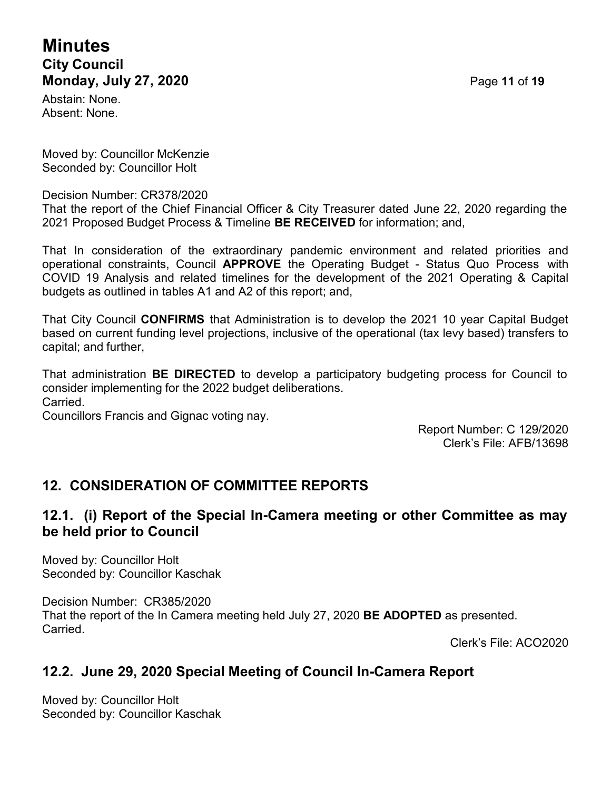# **Minutes City Council Monday, July 27, 2020** Page **11** of **19**

Abstain: None. Absent: None.

Moved by: Councillor McKenzie Seconded by: Councillor Holt

Decision Number: CR378/2020

That the report of the Chief Financial Officer & City Treasurer dated June 22, 2020 regarding the 2021 Proposed Budget Process & Timeline **BE RECEIVED** for information; and,

That In consideration of the extraordinary pandemic environment and related priorities and operational constraints, Council **APPROVE** the Operating Budget - Status Quo Process with COVID 19 Analysis and related timelines for the development of the 2021 Operating & Capital budgets as outlined in tables A1 and A2 of this report; and,

That City Council **CONFIRMS** that Administration is to develop the 2021 10 year Capital Budget based on current funding level projections, inclusive of the operational (tax levy based) transfers to capital; and further,

That administration **BE DIRECTED** to develop a participatory budgeting process for Council to consider implementing for the 2022 budget deliberations. Carried.

Councillors Francis and Gignac voting nay.

Report Number: C 129/2020 Clerk's File: AFB/13698

## **12. CONSIDERATION OF COMMITTEE REPORTS**

#### **12.1. (i) Report of the Special In-Camera meeting or other Committee as may be held prior to Council**

Moved by: Councillor Holt Seconded by: Councillor Kaschak

Decision Number: CR385/2020 That the report of the In Camera meeting held July 27, 2020 **BE ADOPTED** as presented. Carried.

Clerk's File: ACO2020

## **12.2. June 29, 2020 Special Meeting of Council In-Camera Report**

Moved by: Councillor Holt Seconded by: Councillor Kaschak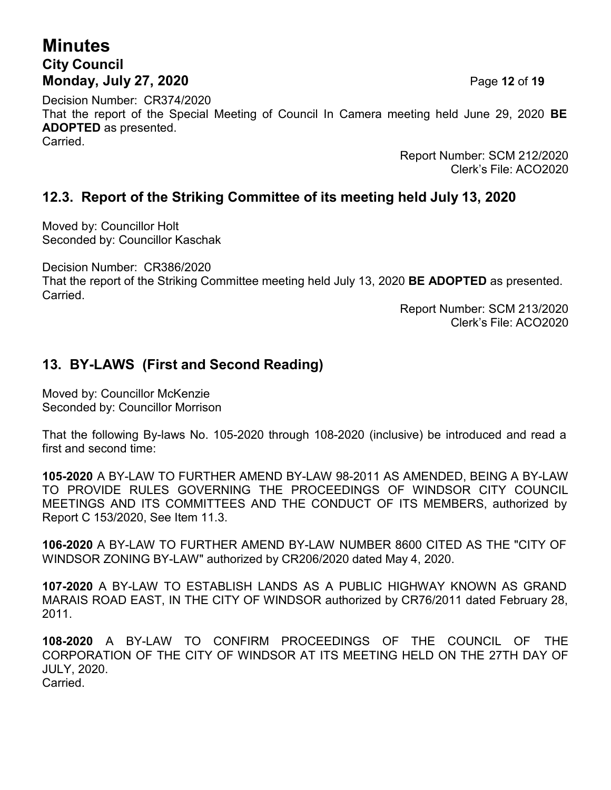# **Minutes City Council Monday, July 27, 2020 Page 12 of 19**

Decision Number: CR374/2020 That the report of the Special Meeting of Council In Camera meeting held June 29, 2020 **BE ADOPTED** as presented. Carried.

Report Number: SCM 212/2020 Clerk's File: ACO2020

#### **12.3. Report of the Striking Committee of its meeting held July 13, 2020**

Moved by: Councillor Holt Seconded by: Councillor Kaschak

Decision Number: CR386/2020

That the report of the Striking Committee meeting held July 13, 2020 **BE ADOPTED** as presented. Carried.

> Report Number: SCM 213/2020 Clerk's File: ACO2020

## **13. BY-LAWS (First and Second Reading)**

Moved by: Councillor McKenzie Seconded by: Councillor Morrison

That the following By-laws No. 105-2020 through 108-2020 (inclusive) be introduced and read a first and second time:

**105-2020** A BY-LAW TO FURTHER AMEND BY-LAW 98-2011 AS AMENDED, BEING A BY-LAW TO PROVIDE RULES GOVERNING THE PROCEEDINGS OF WINDSOR CITY COUNCIL MEETINGS AND ITS COMMITTEES AND THE CONDUCT OF ITS MEMBERS, authorized by Report C 153/2020, See Item 11.3.

**106-2020** A BY-LAW TO FURTHER AMEND BY-LAW NUMBER 8600 CITED AS THE "CITY OF WINDSOR ZONING BY-LAW" authorized by CR206/2020 dated May 4, 2020.

**107-2020** A BY-LAW TO ESTABLISH LANDS AS A PUBLIC HIGHWAY KNOWN AS GRAND MARAIS ROAD EAST, IN THE CITY OF WINDSOR authorized by CR76/2011 dated February 28, 2011.

**108-2020** A BY-LAW TO CONFIRM PROCEEDINGS OF THE COUNCIL OF THE CORPORATION OF THE CITY OF WINDSOR AT ITS MEETING HELD ON THE 27TH DAY OF JULY, 2020. Carried.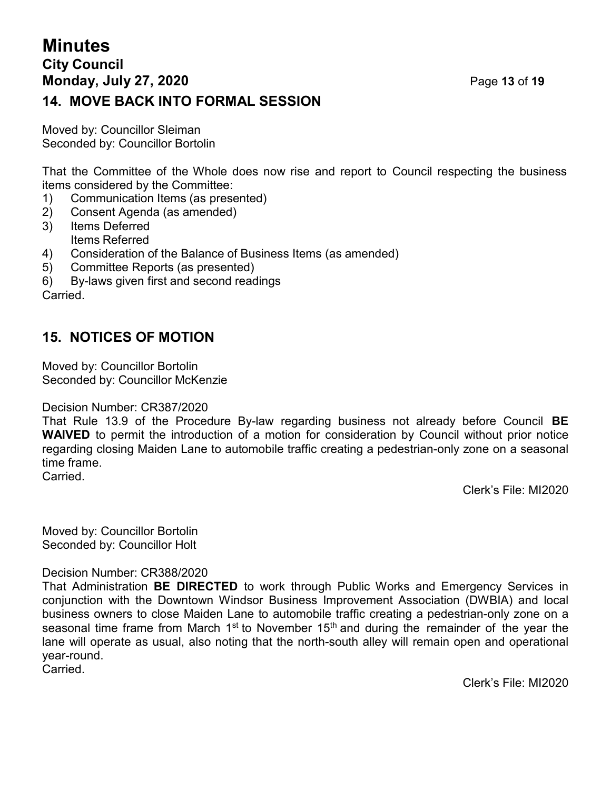# **Minutes City Council Monday, July 27, 2020 Page 13 of 19 14. MOVE BACK INTO FORMAL SESSION**

Moved by: Councillor Sleiman Seconded by: Councillor Bortolin

That the Committee of the Whole does now rise and report to Council respecting the business items considered by the Committee:

- 1) Communication Items (as presented)
- 2) Consent Agenda (as amended)
- 3) Items Deferred Items Referred
- 4) Consideration of the Balance of Business Items (as amended)
- 5) Committee Reports (as presented)
- 6) By-laws given first and second readings

Carried.

## **15. NOTICES OF MOTION**

Moved by: Councillor Bortolin Seconded by: Councillor McKenzie

Decision Number: CR387/2020

That Rule 13.9 of the Procedure By-law regarding business not already before Council **BE WAIVED** to permit the introduction of a motion for consideration by Council without prior notice regarding closing Maiden Lane to automobile traffic creating a pedestrian-only zone on a seasonal time frame. Carried.

Clerk's File: MI2020

Moved by: Councillor Bortolin Seconded by: Councillor Holt

Decision Number: CR388/2020

That Administration **BE DIRECTED** to work through Public Works and Emergency Services in conjunction with the Downtown Windsor Business Improvement Association (DWBIA) and local business owners to close Maiden Lane to automobile traffic creating a pedestrian-only zone on a seasonal time frame from March 1<sup>st</sup> to November 15<sup>th</sup> and during the remainder of the year the lane will operate as usual, also noting that the north-south alley will remain open and operational year-round.

Carried.

Clerk's File: MI2020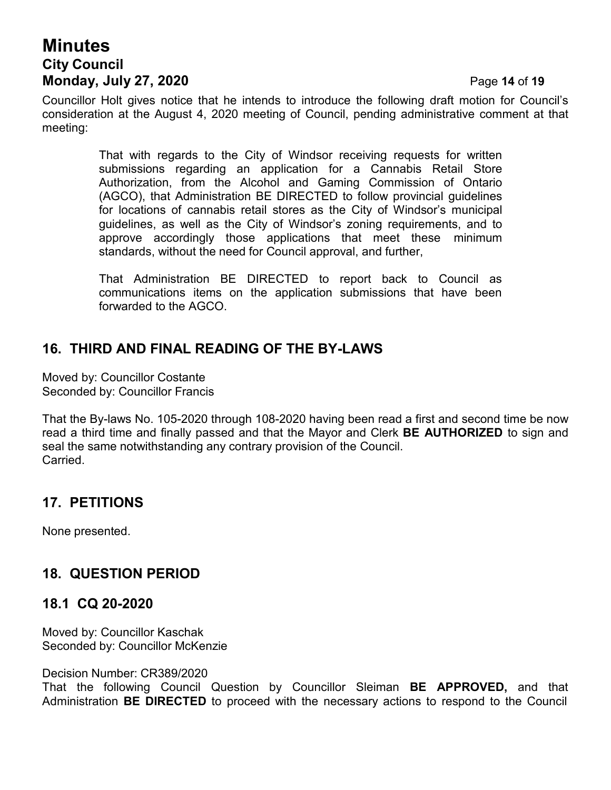# **Minutes City Council Monday, July 27, 2020** Page **14** of **19**

Councillor Holt gives notice that he intends to introduce the following draft motion for Council's consideration at the August 4, 2020 meeting of Council, pending administrative comment at that meeting:

> That with regards to the City of Windsor receiving requests for written submissions regarding an application for a Cannabis Retail Store Authorization, from the Alcohol and Gaming Commission of Ontario (AGCO), that Administration BE DIRECTED to follow provincial guidelines for locations of cannabis retail stores as the City of Windsor's municipal guidelines, as well as the City of Windsor's zoning requirements, and to approve accordingly those applications that meet these minimum standards, without the need for Council approval, and further,

> That Administration BE DIRECTED to report back to Council as communications items on the application submissions that have been forwarded to the AGCO.

# **16. THIRD AND FINAL READING OF THE BY-LAWS**

Moved by: Councillor Costante Seconded by: Councillor Francis

That the By-laws No. 105-2020 through 108-2020 having been read a first and second time be now read a third time and finally passed and that the Mayor and Clerk **BE AUTHORIZED** to sign and seal the same notwithstanding any contrary provision of the Council. Carried.

## **17. PETITIONS**

None presented.

## **18. QUESTION PERIOD**

#### **18.1 CQ 20-2020**

Moved by: Councillor Kaschak Seconded by: Councillor McKenzie

Decision Number: CR389/2020

That the following Council Question by Councillor Sleiman **BE APPROVED,** and that Administration **BE DIRECTED** to proceed with the necessary actions to respond to the Council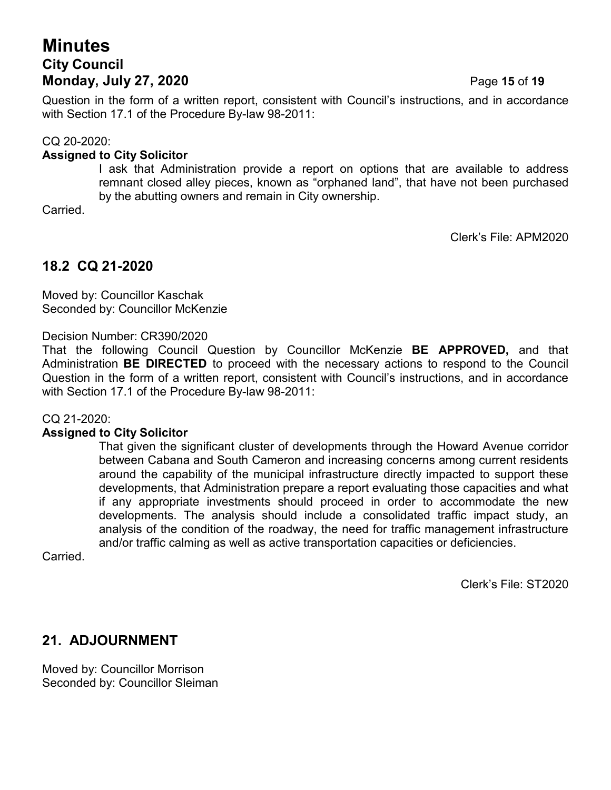# **Minutes City Council Monday, July 27, 2020 Page 15 of 19**

Question in the form of a written report, consistent with Council's instructions, and in accordance with Section 17.1 of the Procedure By-law 98-2011:

#### CQ 20-2020:

#### **Assigned to City Solicitor**

I ask that Administration provide a report on options that are available to address remnant closed alley pieces, known as "orphaned land", that have not been purchased by the abutting owners and remain in City ownership.

Carried.

Clerk's File: APM2020

## **18.2 CQ 21-2020**

Moved by: Councillor Kaschak Seconded by: Councillor McKenzie

#### Decision Number: CR390/2020

That the following Council Question by Councillor McKenzie **BE APPROVED,** and that Administration **BE DIRECTED** to proceed with the necessary actions to respond to the Council Question in the form of a written report, consistent with Council's instructions, and in accordance with Section 17.1 of the Procedure By-law 98-2011:

CQ 21-2020:

#### **Assigned to City Solicitor**

That given the significant cluster of developments through the Howard Avenue corridor between Cabana and South Cameron and increasing concerns among current residents around the capability of the municipal infrastructure directly impacted to support these developments, that Administration prepare a report evaluating those capacities and what if any appropriate investments should proceed in order to accommodate the new developments. The analysis should include a consolidated traffic impact study, an analysis of the condition of the roadway, the need for traffic management infrastructure and/or traffic calming as well as active transportation capacities or deficiencies.

Carried.

Clerk's File: ST2020

## **21. ADJOURNMENT**

Moved by: Councillor Morrison Seconded by: Councillor Sleiman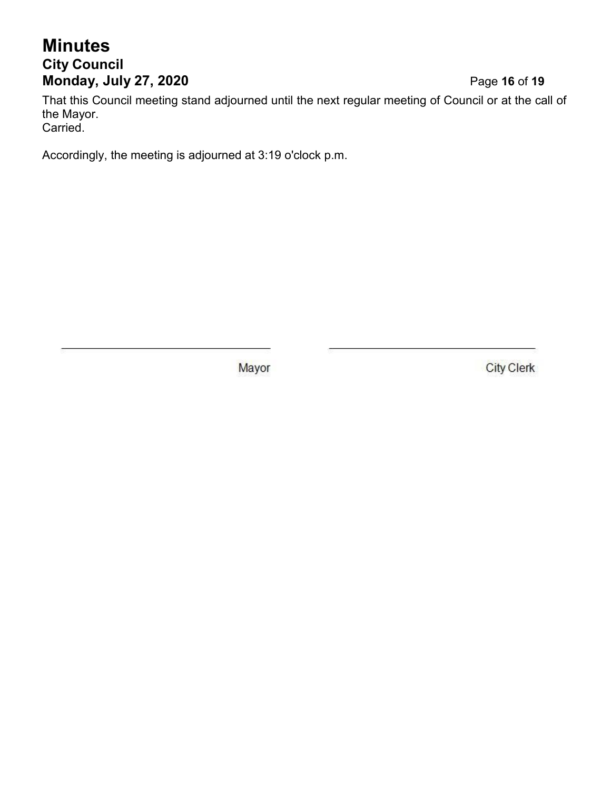# **Minutes City Council Monday, July 27, 2020** Page **16** of **19**

That this Council meeting stand adjourned until the next regular meeting of Council or at the call of the Mayor. Carried.

Accordingly, the meeting is adjourned at 3:19 o'clock p.m.

Mayor

**City Clerk**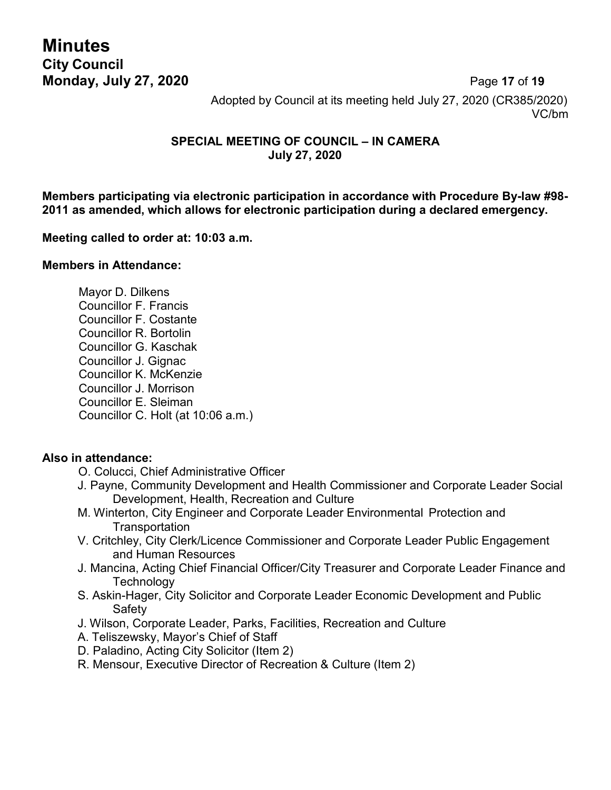**Minutes City Council**

**Monday, July 27, 2020** Page **17** of **19** Adopted by Council at its meeting held July 27, 2020 (CR385/2020) VC/bm

#### **SPECIAL MEETING OF COUNCIL – IN CAMERA July 27, 2020**

**Members participating via electronic participation in accordance with Procedure By-law #98- 2011 as amended, which allows for electronic participation during a declared emergency.**

#### **Meeting called to order at: 10:03 a.m.**

#### **Members in Attendance:**

Mayor D. Dilkens Councillor F. Francis Councillor F. Costante Councillor R. Bortolin Councillor G. Kaschak Councillor J. Gignac Councillor K. McKenzie Councillor J. Morrison Councillor E. Sleiman Councillor C. Holt (at 10:06 a.m.)

#### **Also in attendance:**

- O. Colucci, Chief Administrative Officer
- J. Payne, Community Development and Health Commissioner and Corporate Leader Social Development, Health, Recreation and Culture
- M. Winterton, City Engineer and Corporate Leader Environmental Protection and **Transportation**
- V. Critchley, City Clerk/Licence Commissioner and Corporate Leader Public Engagement and Human Resources
- J. Mancina, Acting Chief Financial Officer/City Treasurer and Corporate Leader Finance and **Technology**
- S. Askin-Hager, City Solicitor and Corporate Leader Economic Development and Public Safety
- J. Wilson, Corporate Leader, Parks, Facilities, Recreation and Culture
- A. Teliszewsky, Mayor's Chief of Staff
- D. Paladino, Acting City Solicitor (Item 2)
- R. Mensour, Executive Director of Recreation & Culture (Item 2)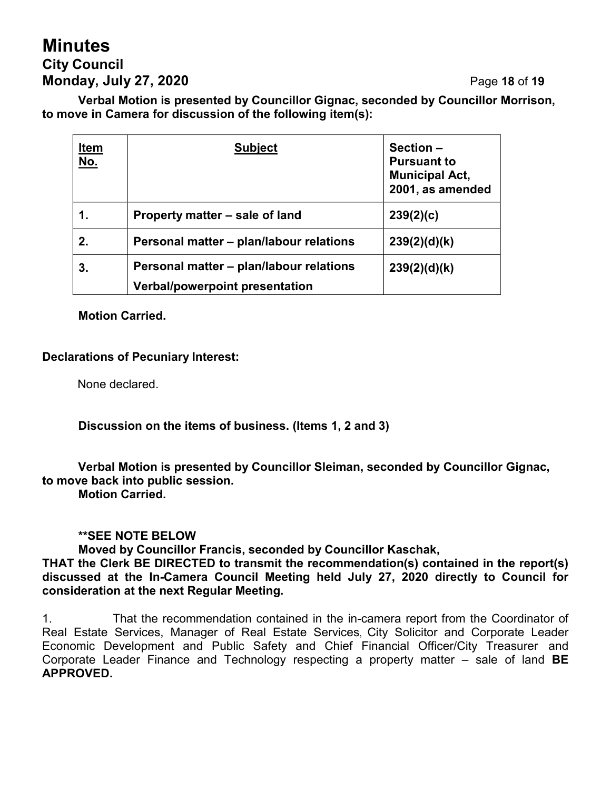# **Minutes City Council Monday, July 27, 2020** Page **18** of **19**

**Verbal Motion is presented by Councillor Gignac, seconded by Councillor Morrison, to move in Camera for discussion of the following item(s):**

| <u>Item</u><br><u>No.</u> | <b>Subject</b>                                                                   | Section -<br><b>Pursuant to</b><br><b>Municipal Act,</b><br>2001, as amended |
|---------------------------|----------------------------------------------------------------------------------|------------------------------------------------------------------------------|
| 1.                        | Property matter – sale of land                                                   | 239(2)(c)                                                                    |
| 2.                        | Personal matter – plan/labour relations                                          | 239(2)(d)(k)                                                                 |
| 3.                        | Personal matter – plan/labour relations<br><b>Verbal/powerpoint presentation</b> | 239(2)(d)(k)                                                                 |

**Motion Carried.**

#### **Declarations of Pecuniary Interest:**

None declared.

**Discussion on the items of business. (Items 1, 2 and 3)**

**Verbal Motion is presented by Councillor Sleiman, seconded by Councillor Gignac, to move back into public session.**

**Motion Carried.**

#### **\*\*SEE NOTE BELOW**

**Moved by Councillor Francis, seconded by Councillor Kaschak,**

**THAT the Clerk BE DIRECTED to transmit the recommendation(s) contained in the report(s) discussed at the In-Camera Council Meeting held July 27, 2020 directly to Council for consideration at the next Regular Meeting.**

1. That the recommendation contained in the in-camera report from the Coordinator of Real Estate Services, Manager of Real Estate Services, City Solicitor and Corporate Leader Economic Development and Public Safety and Chief Financial Officer/City Treasurer and Corporate Leader Finance and Technology respecting a property matter – sale of land **BE APPROVED.**